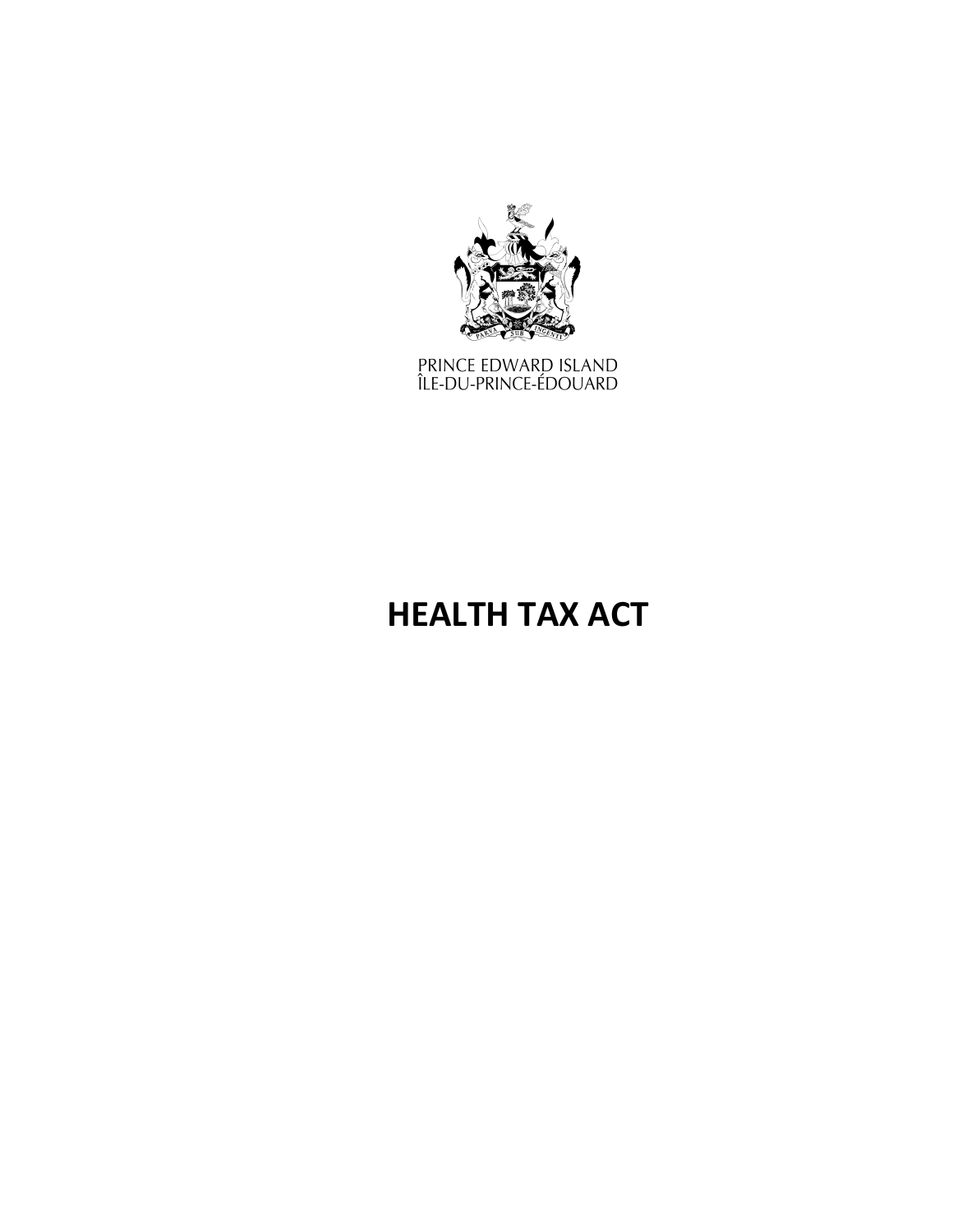

PRINCE EDWARD ISLAND<br>ÎLE-DU-PRINCE-ÉDOUARD

# **HEALTH TAX ACT**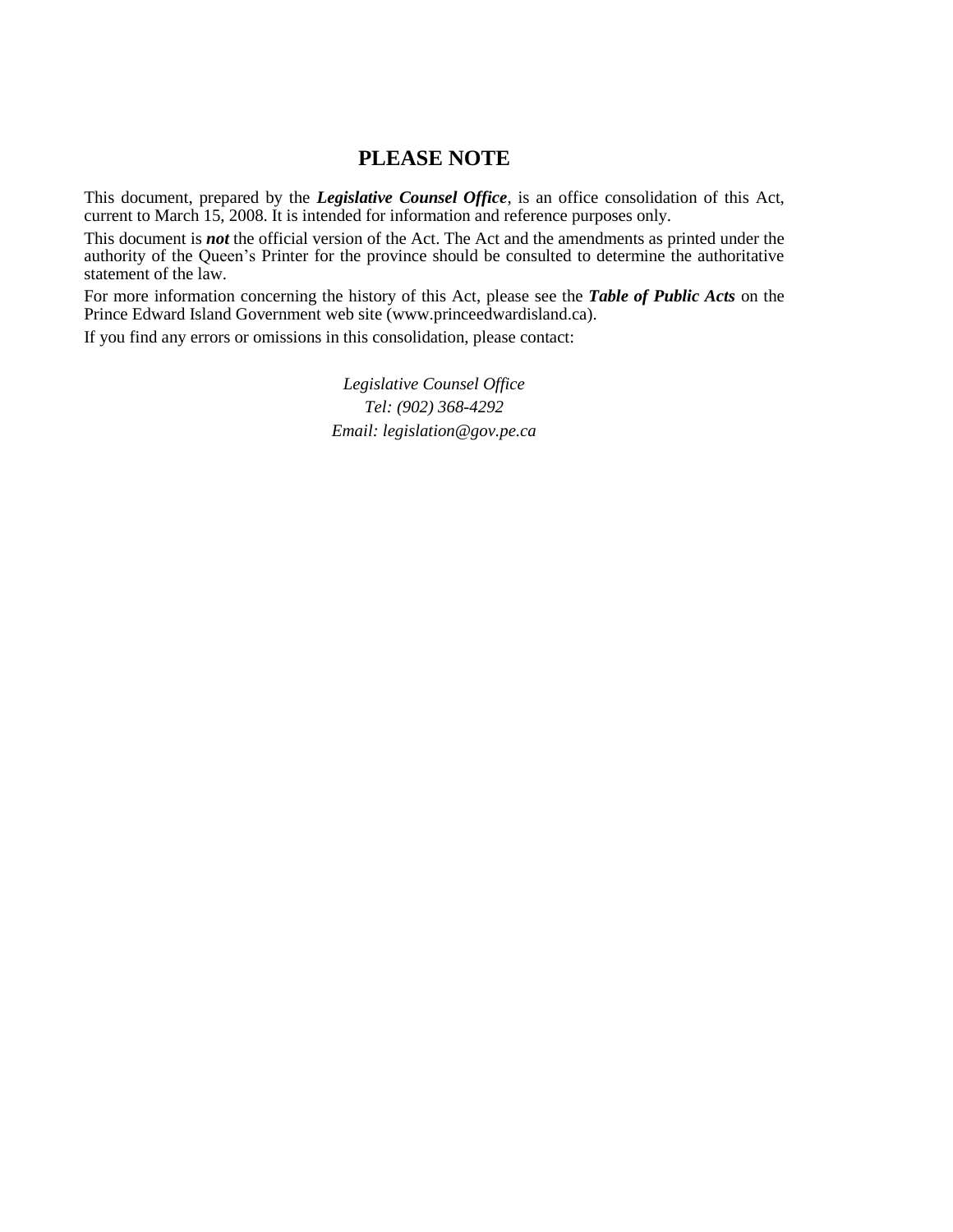## **PLEASE NOTE**

This document, prepared by the *[Legislative](http://www.gov.pe.ca/jps/index.php3?number=1027247) Counsel Office*, is an office consolidation of this Act, current to March 15, 2008. It is intended for information and reference purposes only.

This document is *not* the official version of the Act. The Act and the amendments as printed under the authority of the Queen's Printer for the province should be consulted to determine the authoritative statement of the law.

For more information concerning the history of this Act, please see the *[Table of Public Acts](https://www.princeedwardisland.ca/sites/default/files/publications/leg_table_acts.pdf)* on the Prince Edward Island Government web site (www.princeedwardisland.ca).

If you find any errors or omissions in this consolidation, please contact:

*Legislative Counsel Office Tel: (902) 368-4292 Email: legislation@gov.pe.ca*